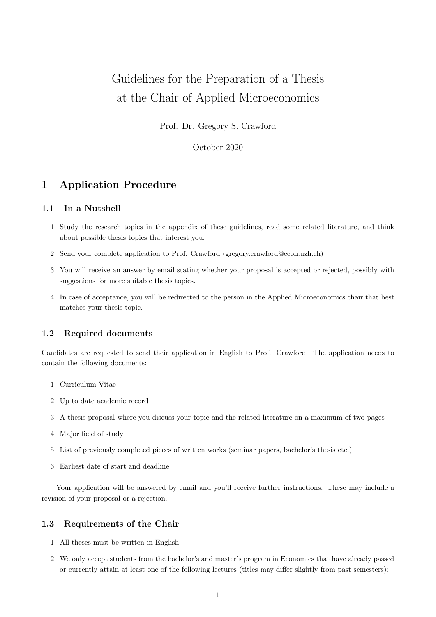# Guidelines for the Preparation of a Thesis at the Chair of Applied Microeconomics

Prof. Dr. Gregory S. Crawford

October 2020

# 1 Application Procedure

## 1.1 In a Nutshell

- 1. Study the research topics in the appendix of these guidelines, read some related literature, and think about possible thesis topics that interest you.
- 2. Send your complete application to Prof. Crawford (gregory.crawford@econ.uzh.ch)
- 3. You will receive an answer by email stating whether your proposal is accepted or rejected, possibly with suggestions for more suitable thesis topics.
- 4. In case of acceptance, you will be redirected to the person in the Applied Microeconomics chair that best matches your thesis topic.

## 1.2 Required documents

Candidates are requested to send their application in English to Prof. Crawford. The application needs to contain the following documents:

- 1. Curriculum Vitae
- 2. Up to date academic record
- 3. A thesis proposal where you discuss your topic and the related literature on a maximum of two pages
- 4. Major field of study
- 5. List of previously completed pieces of written works (seminar papers, bachelor's thesis etc.)
- 6. Earliest date of start and deadline

Your application will be answered by email and you'll receive further instructions. These may include a revision of your proposal or a rejection.

## 1.3 Requirements of the Chair

- 1. All theses must be written in English.
- 2. We only accept students from the bachelor's and master's program in Economics that have already passed or currently attain at least one of the following lectures (titles may differ slightly from past semesters):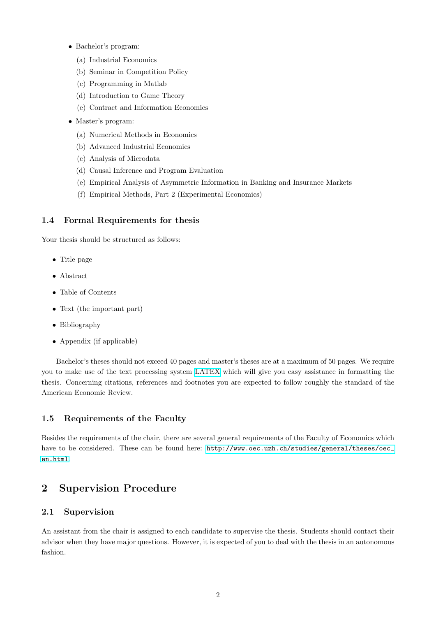- Bachelor's program:
	- (a) Industrial Economics
	- (b) Seminar in Competition Policy
	- (c) Programming in Matlab
	- (d) Introduction to Game Theory
	- (e) Contract and Information Economics
- Master's program:
	- (a) Numerical Methods in Economics
	- (b) Advanced Industrial Economics
	- (c) Analysis of Microdata
	- (d) Causal Inference and Program Evaluation
	- (e) Empirical Analysis of Asymmetric Information in Banking and Insurance Markets
	- (f) Empirical Methods, Part 2 (Experimental Economics)

## 1.4 Formal Requirements for thesis

Your thesis should be structured as follows:

- Title page
- Abstract
- Table of Contents
- Text (the important part)
- Bibliography
- Appendix (if applicable)

Bachelor's theses should not exceed 40 pages and master's theses are at a maximum of 50 pages. We require you to make use of the text processing system [LATEX](https://www.latex-project.org/) which will give you easy assistance in formatting the thesis. Concerning citations, references and footnotes you are expected to follow roughly the standard of the American Economic Review.

## 1.5 Requirements of the Faculty

Besides the requirements of the chair, there are several general requirements of the Faculty of Economics which have to be considered. These can be found here: [http://www.oec.uzh.ch/studies/general/theses/oec\\_](http://www.oec.uzh. ch/studies/general/theses/oec_en.html) [en.html](http://www.oec.uzh. ch/studies/general/theses/oec_en.html).

## 2 Supervision Procedure

## 2.1 Supervision

An assistant from the chair is assigned to each candidate to supervise the thesis. Students should contact their advisor when they have major questions. However, it is expected of you to deal with the thesis in an autonomous fashion.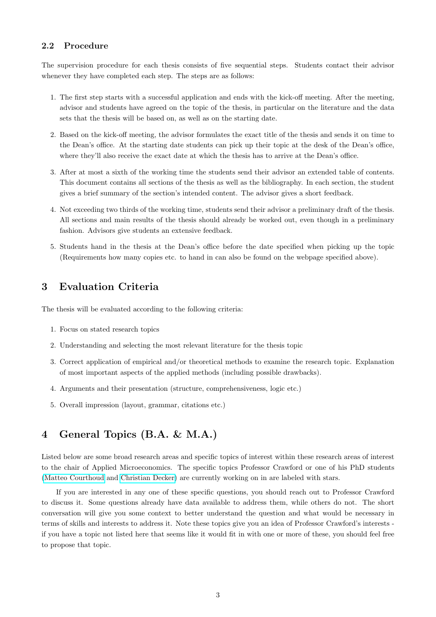## 2.2 Procedure

The supervision procedure for each thesis consists of five sequential steps. Students contact their advisor whenever they have completed each step. The steps are as follows:

- 1. The first step starts with a successful application and ends with the kick-off meeting. After the meeting, advisor and students have agreed on the topic of the thesis, in particular on the literature and the data sets that the thesis will be based on, as well as on the starting date.
- 2. Based on the kick-off meeting, the advisor formulates the exact title of the thesis and sends it on time to the Dean's office. At the starting date students can pick up their topic at the desk of the Dean's office, where they'll also receive the exact date at which the thesis has to arrive at the Dean's office.
- 3. After at most a sixth of the working time the students send their advisor an extended table of contents. This document contains all sections of the thesis as well as the bibliography. In each section, the student gives a brief summary of the section's intended content. The advisor gives a short feedback.
- 4. Not exceeding two thirds of the working time, students send their advisor a preliminary draft of the thesis. All sections and main results of the thesis should already be worked out, even though in a preliminary fashion. Advisors give students an extensive feedback.
- 5. Students hand in the thesis at the Dean's office before the date specified when picking up the topic (Requirements how many copies etc. to hand in can also be found on the webpage specified above).

# 3 Evaluation Criteria

The thesis will be evaluated according to the following criteria:

- 1. Focus on stated research topics
- 2. Understanding and selecting the most relevant literature for the thesis topic
- 3. Correct application of empirical and/or theoretical methods to examine the research topic. Explanation of most important aspects of the applied methods (including possible drawbacks).
- 4. Arguments and their presentation (structure, comprehensiveness, logic etc.)
- 5. Overall impression (layout, grammar, citations etc.)

# 4 General Topics (B.A. & M.A.)

Listed below are some broad research areas and specific topics of interest within these research areas of interest to the chair of Applied Microeconomics. The specific topics Professor Crawford or one of his PhD students [\(Matteo Courthoud](https://matteocourthoud.github.io/) and [Christian Decker\)](https://www.econ.uzh.ch/en/people/graduatestudents/decker.html) are currently working on in are labeled with stars.

If you are interested in any one of these specific questions, you should reach out to Professor Crawford to discuss it. Some questions already have data available to address them, while others do not. The short conversation will give you some context to better understand the question and what would be necessary in terms of skills and interests to address it. Note these topics give you an idea of Professor Crawford's interests if you have a topic not listed here that seems like it would fit in with one or more of these, you should feel free to propose that topic.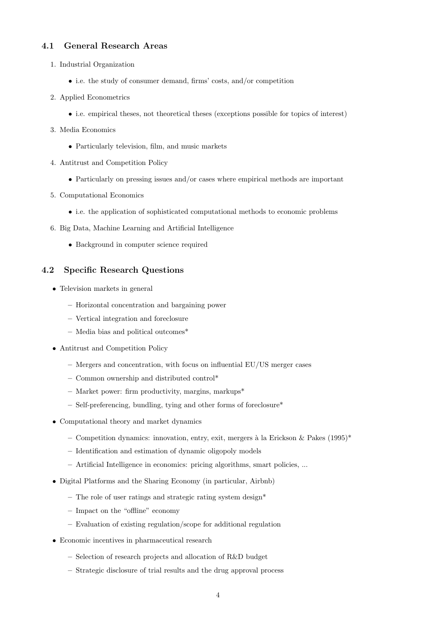## 4.1 General Research Areas

- 1. Industrial Organization
	- i.e. the study of consumer demand, firms' costs, and/or competition
- 2. Applied Econometrics
	- i.e. empirical theses, not theoretical theses (exceptions possible for topics of interest)
- 3. Media Economics
	- Particularly television, film, and music markets
- 4. Antitrust and Competition Policy
	- Particularly on pressing issues and/or cases where empirical methods are important
- 5. Computational Economics
	- i.e. the application of sophisticated computational methods to economic problems
- 6. Big Data, Machine Learning and Artificial Intelligence
	- Background in computer science required

## 4.2 Specific Research Questions

- Television markets in general
	- Horizontal concentration and bargaining power
	- Vertical integration and foreclosure
	- Media bias and political outcomes\*
- Antitrust and Competition Policy
	- Mergers and concentration, with focus on influential EU/US merger cases
	- Common ownership and distributed control\*
	- Market power: firm productivity, margins, markups\*
	- Self-preferencing, bundling, tying and other forms of foreclosure\*
- Computational theory and market dynamics
	- Competition dynamics: innovation, entry, exit, mergers à la Erickson & Pakes (1995)<sup>\*</sup>
	- Identification and estimation of dynamic oligopoly models
	- Artificial Intelligence in economics: pricing algorithms, smart policies, ...
- Digital Platforms and the Sharing Economy (in particular, Airbnb)
	- The role of user ratings and strategic rating system design<sup>\*</sup>
	- Impact on the "offline" economy
	- Evaluation of existing regulation/scope for additional regulation
- Economic incentives in pharmaceutical research
	- Selection of research projects and allocation of R&D budget
	- Strategic disclosure of trial results and the drug approval process